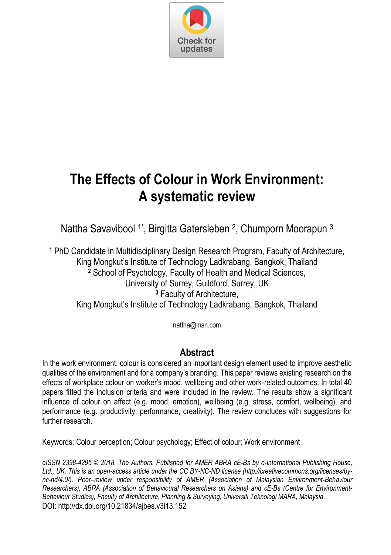

# **The Effects of Colour in Work Environment: A systematic review**

Nattha Savavibool <sup>1\*</sup>, Birgitta Gatersleben <sup>2</sup>, Chumporn Moorapun <sup>3</sup>

**1** PhD Candidate in Multidisciplinary Design Research Program, Faculty of Architecture, King Mongkut's Institute of Technology Ladkrabang, Bangkok, Thailand **2** School of Psychology, Faculty of Health and Medical Sciences, University of Surrey, Guildford, Surrey, UK **3** Faculty of Architecture, King Mongkut's Institute of Technology Ladkrabang, Bangkok, Thailand

nattha@msn.com

# **Abstract**

In the work environment, colour is considered an important design element used to improve aesthetic qualities of the environment and for a company's branding. This paper reviews existing research on the effects of workplace colour on worker's mood, wellbeing and other work-related outcomes. In total 40 papers fitted the inclusion criteria and were included in the review. The results show a significant influence of colour on affect (e.g. mood, emotion), wellbeing (e.g. stress, comfort, wellbeing), and performance (e.g. productivity, performance, creativity). The review concludes with suggestions for further research

Keywords: Colour perception; Colour psychology; Effect of colour; Work environment

*eISSN 2398-4295 © 2018. The Authors. Published for AMER ABRA cE-Bs by e-International Publishing House, Ltd., UK. This is an open-access article under the CC BY-NC-ND license (http://creativecommons.org/licenses/bync-nd/4.0/). Peer–review under responsibility of AMER (Association of Malaysian Environment-Behaviour Researchers), ABRA (Association of Behavioural Researchers on Asians) and cE-Bs (Centre for Environment-Behaviour Studies), Faculty of Architecture, Planning & Surveying, Universiti Teknologi MARA, Malaysia.*  DOI: http://dx.doi.org/10.21834/ajbes.v3i13.152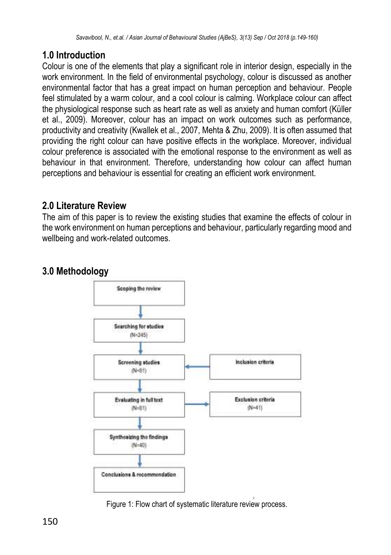# **1.0 Introduction**

Colour is one of the elements that play a significant role in interior design, especially in the work environment. In the field of environmental psychology, colour is discussed as another environmental factor that has a great impact on human perception and behaviour. People feel stimulated by a warm colour, and a cool colour is calming. Workplace colour can affect the physiological response such as heart rate as well as anxiety and human comfort (Küller et al., 2009). Moreover, colour has an impact on work outcomes such as performance, productivity and creativity (Kwallek et al., 2007, Mehta & Zhu, 2009). It is often assumed that providing the right colour can have positive effects in the workplace. Moreover, individual colour preference is associated with the emotional response to the environment as well as behaviour in that environment. Therefore, understanding how colour can affect human perceptions and behaviour is essential for creating an efficient work environment.

# **2.0 Literature Review**

The aim of this paper is to review the existing studies that examine the effects of colour in the work environment on human perceptions and behaviour, particularly regarding mood and wellbeing and work-related outcomes.

# **3.0 Methodology**



Figure 1: Flow chart of systematic literature review process.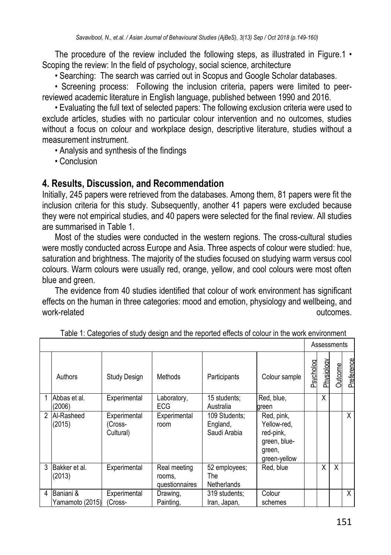The procedure of the review included the following steps, as illustrated in Figure.1  $\cdot$ Scoping the review: In the field of psychology, social science, architecture

• Searching: The search was carried out in Scopus and Google Scholar databases.

• Screening process: Following the inclusion criteria, papers were limited to peerreviewed academic literature in English language, published between 1990 and 2016.

• Evaluating the full text of selected papers: The following exclusion criteria were used to exclude articles, studies with no particular colour intervention and no outcomes, studies without a focus on colour and workplace design, descriptive literature, studies without a measurement instrument.

• Analysis and synthesis of the findings

• Conclusion

#### **4. Results, Discussion, and Recommendation**

Initially, 245 papers were retrieved from the databases. Among them, 81 papers were fit the inclusion criteria for this study. Subsequently, another 41 papers were excluded because they were not empirical studies, and 40 papers were selected for the final review. All studies are summarised in Table 1.

Most of the studies were conducted in the western regions. The cross-cultural studies were mostly conducted across Europe and Asia. Three aspects of colour were studied: hue, saturation and brightness. The majority of the studies focused on studying warm versus cool colours. Warm colours were usually red, orange, yellow, and cool colours were most often blue and green.

The evidence from 40 studies identified that colour of work environment has significant effects on the human in three categories: mood and emotion, physiology and wellbeing, and work-related outcomes.

|   |                              |                                      |                                          |                                           |                                                                                  |           | Assessments |                |            |  |
|---|------------------------------|--------------------------------------|------------------------------------------|-------------------------------------------|----------------------------------------------------------------------------------|-----------|-------------|----------------|------------|--|
|   | Authors                      | <b>Study Design</b>                  | Methods                                  | Participants                              | Colour sample                                                                    | Psycholog | Physiology  | <b>Outcome</b> | Preference |  |
|   | Abbas et al.<br>(2006)       | Experimental                         | Laboratory,<br><b>ECG</b>                | 15 students;<br>Australia                 | Red, blue,<br>green                                                              |           | X           |                |            |  |
| 2 | Al-Rasheed<br>(2015)         | Experimental<br>(Cross-<br>Cultural) | Experimental<br>room                     | 109 Students:<br>England,<br>Saudi Arabia | Red, pink,<br>Yellow-red.<br>red-pink,<br>green, blue-<br>green,<br>green-yellow |           |             |                | X          |  |
| 3 | Bakker et al.<br>(2013)      | Experimental                         | Real meeting<br>rooms,<br>questionnaires | 52 employees;<br>The<br>Netherlands       | Red. blue                                                                        |           | Χ           | X              |            |  |
| 4 | Baniani &<br>Yamamoto (2015) | Experimental<br>(Cross-              | Drawing,<br>Painting,                    | 319 students:<br>Iran, Japan,             | Colour<br>schemes                                                                |           |             |                | X          |  |

 $\overline{\phantom{0}}$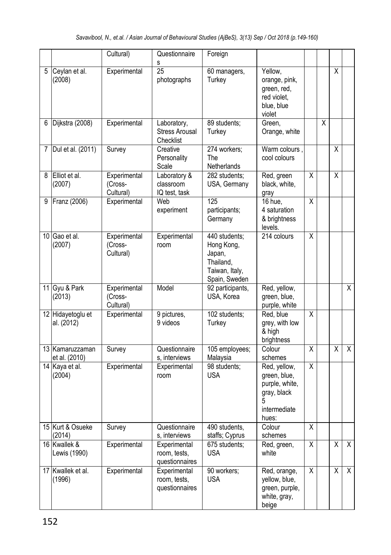|   |                                  | Cultural)                            | Questionnaire<br>s                                | Foreign                                                                               |                                                                                             |                         |   |                         |                         |
|---|----------------------------------|--------------------------------------|---------------------------------------------------|---------------------------------------------------------------------------------------|---------------------------------------------------------------------------------------------|-------------------------|---|-------------------------|-------------------------|
|   | 5 Ceylan et al.<br>(2008)        | Experimental                         | 25<br>photographs                                 | 60 managers,<br>Turkey                                                                | Yellow,<br>orange, pink,<br>green, red,<br>red violet.<br>blue, blue<br>violet              |                         |   | X                       |                         |
| 6 | Dijkstra (2008)                  | Experimental                         | Laboratory,<br><b>Stress Arousal</b><br>Checklist | 89 students:<br>Turkey                                                                | Green.<br>Orange, white                                                                     |                         | X |                         |                         |
|   | 7 Dul et al. (2011)              | Survey                               | Creative<br>Personality<br>Scale                  | 274 workers:<br><b>The</b><br>Netherlands                                             | Warm colours.<br>cool colours                                                               |                         |   | Χ                       |                         |
|   | 8 Elliot et al.<br>(2007)        | Experimental<br>(Cross-<br>Cultural) | Laboratory &<br>classroom<br>IQ test, task        | 282 students:<br>USA, Germany                                                         | Red, green<br>black, white,<br>gray                                                         | $\overline{\mathsf{x}}$ |   | $\overline{\mathsf{x}}$ |                         |
| 9 | Franz (2006)                     | Experimental                         | Web<br>experiment                                 | $\overline{125}$<br>participants;<br>Germany                                          | 16 hue.<br>4 saturation<br>& brightness<br>levels.                                          | $\overline{\mathsf{X}}$ |   |                         |                         |
|   | 10 Gao et al.<br>(2007)          | Experimental<br>(Cross-<br>Cultural) | Experimental<br>room                              | 440 students;<br>Hong Kong,<br>Japan,<br>Thailand,<br>Taiwan, Italy,<br>Spain, Sweden | 214 colours                                                                                 | Χ                       |   |                         |                         |
|   | 11 Gyu & Park<br>(2013)          | Experimental<br>(Cross-<br>Cultural) | Model                                             | 92 participants,<br>USA, Korea                                                        | Red, yellow,<br>green, blue,<br>purple, white                                               |                         |   |                         | Χ                       |
|   | 12 Hidayetoglu et<br>al. (2012)  | Experimental                         | 9 pictures.<br>9 videos                           | 102 students;<br>Turkey                                                               | Red. blue<br>grey, with low<br>& hiah<br>brightness                                         | $\overline{\mathsf{x}}$ |   |                         |                         |
|   | 13 Kamaruzzaman<br>et al. (2010) | Survey                               | Questionnaire<br>s, interviews                    | 105 employees;<br>Malaysia                                                            | Colour<br>schemes                                                                           | $\overline{\mathsf{x}}$ |   | $\overline{X}$          | $\overline{\mathsf{x}}$ |
|   | 14 Kaya et al.<br>(2004)         | Experimental                         | Experimental<br>room                              | 98 students;<br><b>USA</b>                                                            | Red, yellow,<br>green, blue,<br>purple, white,<br>gray, black<br>5<br>intermediate<br>hues: | $\overline{X}$          |   |                         |                         |
|   | 15 Kurt & Osueke<br>(2014)       | Survey                               | Questionnaire<br>s, interviews                    | 490 students.<br>staffs; Cyprus                                                       | Colour<br>schemes                                                                           | $\overline{\mathsf{x}}$ |   |                         |                         |
|   | 16 Kwallek &<br>Lewis (1990)     | Experimental                         | Experimental<br>room, tests,<br>questionnaires    | 675 students;<br><b>USA</b>                                                           | Red, green,<br>white                                                                        | X                       |   | X                       | $\overline{\mathsf{X}}$ |
|   | 17 Kwallek et al.<br>(1996)      | Experimental                         | Experimental<br>room, tests,<br>questionnaires    | 90 workers;<br><b>USA</b>                                                             | Red, orange,<br>yellow, blue,<br>green, purple,<br>white, gray,<br>beige                    | $\overline{\mathsf{x}}$ |   | $\overline{X}$          | $\overline{\mathsf{x}}$ |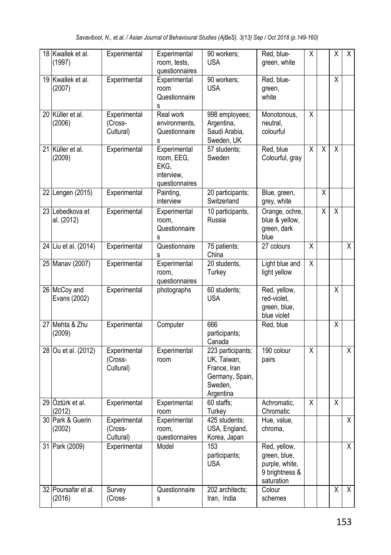| 18 Kwallek et al.<br>(1997)   | Experimental                         | Experimental<br>room, tests,<br>questionnaires                     | 90 workers;<br><b>USA</b>                                                                   | Red, blue-<br>green, white                                                     | Χ                       |   | X                       | X                       |
|-------------------------------|--------------------------------------|--------------------------------------------------------------------|---------------------------------------------------------------------------------------------|--------------------------------------------------------------------------------|-------------------------|---|-------------------------|-------------------------|
| 19 Kwallek et al.<br>(2007)   | Experimental                         | Experimental<br>room<br>Questionnaire<br>s                         | 90 workers;<br><b>USA</b>                                                                   | Red, blue-<br>green,<br>white                                                  |                         |   | $\overline{\mathsf{x}}$ |                         |
| 20 Küller et al.<br>(2006)    | Experimental<br>(Cross-<br>Cultural) | Real work<br>environments,<br>Questionnaire<br>s                   | 998 employees;<br>Argentina,<br>Saudi Arabia,<br>Sweden, UK                                 | Monotonous,<br>neutral,<br>colourful                                           | X                       |   |                         |                         |
| 21 Küller et al.<br>(2009)    | Experimental                         | Experimental<br>room, EEG,<br>EKG,<br>interview,<br>questionnaires | 57 students;<br>Sweden                                                                      | Red, blue<br>Colourful, gray                                                   | $\overline{X}$          | X | X                       |                         |
| 22 Lengen (2015)              | Experimental                         | Painting,<br>interview                                             | 20 participants;<br>Switzerland                                                             | Blue, green,<br>grey, white                                                    |                         | X |                         |                         |
| 23 Lebedkova et<br>al. (2012) | Experimental                         | Experimental<br>room.<br>Questionnaire<br>s                        | 10 participants,<br>Russia                                                                  | Orange, ochre,<br>blue & yellow,<br>green, dark<br>blue                        |                         | X | $\overline{\mathsf{x}}$ |                         |
| 24 Liu et al. (2014)          | Experimental                         | Questionnaire<br>s                                                 | 75 patients;<br>China                                                                       | 27 colours                                                                     | $\overline{\mathsf{x}}$ |   |                         | χ                       |
| 25 Manav (2007)               | Experimental                         | Experimental<br>room,<br>questionnaires                            | 20 students.<br>Turkey                                                                      | Light blue and<br>light yellow                                                 | $\overline{\mathsf{x}}$ |   |                         |                         |
| 26 McCoy and<br>Evans (2002)  | Experimental                         | photographs                                                        | 60 students;<br><b>USA</b>                                                                  | Red, yellow,<br>red-violet,<br>green, blue,<br>blue violet                     |                         |   | X                       |                         |
| 27 Mehta & Zhu<br>(2009)      | Experimental                         | Computer                                                           | 666<br>participants;<br>Canada                                                              | Red, blue                                                                      |                         |   | $\overline{\mathsf{x}}$ |                         |
| 28 Ou et al. (2012)           | Experimental<br>(Cross-<br>Cultural) | Experimental<br>room                                               | 223 participants;<br>UK, Taiwan,<br>France, Iran<br>Germany, Spain,<br>Sweden.<br>Argentina | 190 colour<br>pairs                                                            | $\overline{X}$          |   |                         | $\overline{X}$          |
| 29 Öztürk et al.<br>(2012)    | Experimental                         | Experimental<br>room                                               | 60 staffs;<br>Turkey                                                                        | Achromatic,<br>Chromatic                                                       | $\overline{\mathsf{x}}$ |   | $\overline{X}$          |                         |
| 30 Park & Guerin<br>(2002)    | Experimental<br>(Cross-<br>Cultural) | Experimental<br>room.<br>questionnaires                            | 425 students;<br>USA, England,<br>Korea, Japan                                              | Hue, value,<br>chroma.                                                         |                         |   |                         | χ                       |
| 31 Park (2009)                | Experimental                         | Model                                                              | 153<br>participants;<br><b>USA</b>                                                          | Red, yellow,<br>green, blue,<br>purple, white,<br>9 brightness &<br>saturation |                         |   |                         | X                       |
| 32 Poursafar et al.<br>(2016) | Survey<br>(Cross-                    | Questionnaire<br>s                                                 | 202 architects;<br>Iran, India                                                              | Colour<br>schemes                                                              |                         |   | $\overline{\mathsf{x}}$ | $\overline{\mathsf{x}}$ |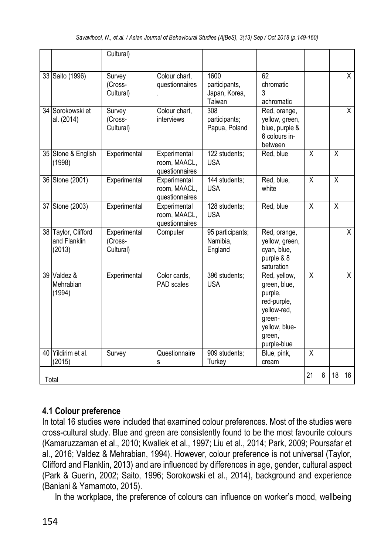|       |                                               | Cultural)                            |                                                |                                                  |                                                                                                                           |                         |   |    |                |
|-------|-----------------------------------------------|--------------------------------------|------------------------------------------------|--------------------------------------------------|---------------------------------------------------------------------------------------------------------------------------|-------------------------|---|----|----------------|
|       | 33 Saito (1996)                               | Survey<br>(Cross-<br>Cultural)       | Colour chart.<br>questionnaires                | 1600<br>participants.<br>Japan, Korea,<br>Taiwan | 62<br>chromatic<br>3<br>achromatic                                                                                        |                         |   |    | X              |
|       | 34 Sorokowski et<br>al. (2014)                | Survey<br>(Cross-<br>Cultural)       | Colour chart.<br>interviews                    | 308<br>participants;<br>Papua, Poland            | Red, orange,<br>yellow, green,<br>blue, purple &<br>6 colours in-<br>between                                              |                         |   |    | X              |
|       | 35 Stone & English<br>(1998)                  | Experimental                         | Experimental<br>room, MAACL,<br>questionnaires | 122 students;<br><b>USA</b>                      | Red, blue                                                                                                                 | X                       |   | X  |                |
|       | 36 Stone (2001)                               | Experimental                         | Experimental<br>room, MAACL,<br>questionnaires | 144 students;<br><b>USA</b>                      | Red, blue,<br>white                                                                                                       | X                       |   | X  |                |
|       | 37 Stone (2003)                               | Experimental                         | Experimental<br>room, MAACL,<br>questionnaires | 128 students;<br><b>USA</b>                      | Red, blue                                                                                                                 | X                       |   | X  |                |
|       | 38 Taylor, Clifford<br>and Flanklin<br>(2013) | Experimental<br>(Cross-<br>Cultural) | Computer                                       | 95 participants;<br>Namibia.<br>England          | Red, orange,<br>yellow, green,<br>cyan, blue,<br>purple & 8<br>saturation                                                 |                         |   |    | $\overline{X}$ |
|       | 39 Valdez &<br>Mehrabian<br>(1994)            | Experimental                         | Color cards,<br>PAD scales                     | 396 students;<br><b>USA</b>                      | Red, yellow,<br>green, blue,<br>purple,<br>red-purple,<br>yellow-red,<br>green-<br>yellow, blue-<br>green,<br>purple-blue | $\overline{\mathsf{x}}$ |   |    | $\overline{X}$ |
|       | 40 Yildirim et al.<br>(2015)                  | Survey                               | Questionnaire<br>s                             | 909 students;<br>Turkey                          | Blue, pink,<br>cream                                                                                                      | Χ                       |   |    |                |
| Total |                                               |                                      |                                                |                                                  |                                                                                                                           |                         | 6 | 18 | 16             |

#### **4.1 Colour preference**

In total 16 studies were included that examined colour preferences. Most of the studies were cross-cultural study. Blue and green are consistently found to be the most favourite colours (Kamaruzzaman et al., 2010; Kwallek et al., 1997; Liu et al., 2014; Park, 2009; Poursafar et al., 2016; Valdez & Mehrabian, 1994). However, colour preference is not universal (Taylor, Clifford and Flanklin, 2013) and are influenced by differences in age, gender, cultural aspect (Park & Guerin, 2002; Saito, 1996; Sorokowski et al., 2014), background and experience (Baniani & Yamamoto, 2015).

In the workplace, the preference of colours can influence on worker's mood, wellbeing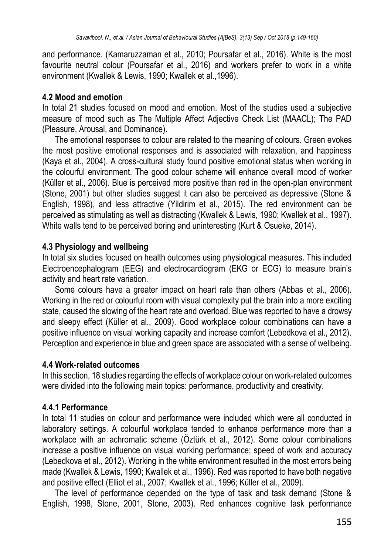and performance. (Kamaruzzaman et al., 2010; Poursafar et al., 2016). White is the most favourite neutral colour (Poursafar et al., 2016) and workers prefer to work in a white environment (Kwallek & Lewis, 1990; Kwallek et al.,1996).

#### **4.2 Mood and emotion**

In total 21 studies focused on mood and emotion. Most of the studies used a subjective measure of mood such as The Multiple Affect Adjective Check List (MAACL); The PAD (Pleasure, Arousal, and Dominance).

The emotional responses to colour are related to the meaning of colours. Green evokes the most positive emotional responses and is associated with relaxation, and happiness (Kaya et al., 2004). A cross-cultural study found positive emotional status when working in the colourful environment. The good colour scheme will enhance overall mood of worker (Küller et al., 2006). Blue is perceived more positive than red in the open-plan environment  $($ Stone, 2001) but other studies suggest it can also be perceived as depressive (Stone & English, 1998), and less attractive (Yildirim et al., 2015). The red environment can be perceived as stimulating as well as distracting (Kwallek & Lewis, 1990; Kwallek et al., 1997). White walls tend to be perceived boring and uninteresting (Kurt & Osueke, 2014).

#### **4.3 Physiology and wellbeing**

In total six studies focused on health outcomes using physiological measures. This included Electroencephalogram (EEG) and electrocardiogram (EKG or ECG) to measure brain's activity and heart rate variation.

Some colours have a greater impact on heart rate than others (Abbas et al., 2006). Working in the red or colourful room with visual complexity put the brain into a more exciting state, caused the slowing of the heart rate and overload. Blue was reported to have a drowsy and sleepy effect (Küller et al., 2009). Good workplace colour combinations can have a positive influence on visual working capacity and increase comfort (Lebedkova et al., 2012). Perception and experience in blue and green space are associated with a sense of wellbeing.

#### **4.4 Work-related outcomes**

In this section, 18 studies regarding the effects of workplace colour on work-related outcomes were divided into the following main topics: performance, productivity and creativity.

#### **4.4.1 Performance**

In total 11 studies on colour and performance were included which were all conducted in laboratory settings. A colourful workplace tended to enhance performance more than a workplace with an achromatic scheme (Öztürk et al., 2012). Some colour combinations increase a positive influence on visual working performance; speed of work and accuracy (Lebedkova et al., 2012). Working in the white environment resulted in the most errors being made (Kwallek & Lewis, 1990; Kwallek et al., 1996). Red was reported to have both negative and positive effect (Elliot et al., 2007; Kwallek et al., 1996; Küller et al., 2009).

The level of performance depended on the type of task and task demand (Stone & English, 1998, Stone, 2001, Stone, 2003). Red enhances cognitive task performance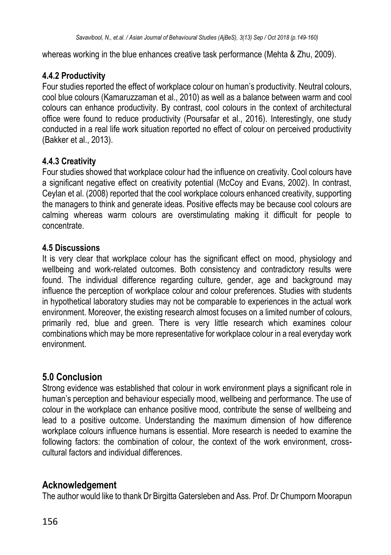whereas working in the blue enhances creative task performance (Mehta & Zhu, 2009).

## **4.4.2 Productivity**

Four studies reported the effect of workplace colour on human's productivity. Neutral colours, cool blue colours (Kamaruzzaman et al., 2010) as well as a balance between warm and cool colours can enhance productivity. By contrast, cool colours in the context of architectural office were found to reduce productivity (Poursafar et al., 2016). Interestingly, one study conducted in a real life work situation reported no effect of colour on perceived productivity (Bakker et al., 2013).

## **4.4.3 Creativity**

Four studies showed that workplace colour had the influence on creativity. Cool colours have a significant negative effect on creativity potential (McCoy and Evans, 2002). In contrast, Ceylan et al. (2008) reported that the cool workplace colours enhanced creativity, supporting the managers to think and generate ideas. Positive effects may be because cool colours are calming whereas warm colours are overstimulating making it difficult for people to concentrate.

#### **4.5 Discussions**

It is very clear that workplace colour has the significant effect on mood, physiology and wellbeing and work-related outcomes. Both consistency and contradictory results were found. The individual difference regarding culture, gender, age and background may influence the perception of workplace colour and colour preferences. Studies with students in hypothetical laboratory studies may not be comparable to experiences in the actual work environment. Moreover, the existing research almost focuses on a limited number of colours, primarily red, blue and green. There is very little research which examines colour combinations which may be more representative for workplace colour in a real everyday work environment.

# **5.0 Conclusion**

Strong evidence was established that colour in work environment plays a significant role in human's perception and behaviour especially mood, wellbeing and performance. The use of colour in the workplace can enhance positive mood, contribute the sense of wellbeing and lead to a positive outcome. Understanding the maximum dimension of how difference workplace colours influence humans is essential. More research is needed to examine the following factors: the combination of colour, the context of the work environment, crosscultural factors and individual differences.

# **Acknowledgement**

The author would like to thank Dr Birgitta Gatersleben and Ass. Prof. Dr Chumporn Moorapun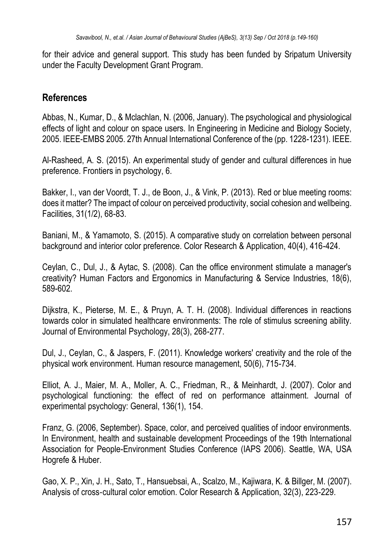for their advice and general support. This study has been funded by Sripatum University under the Faculty Development Grant Program.

# **References**

Abbas, N., Kumar, D., & Mclachlan, N. (2006, January). The psychological and physiological effects of light and colour on space users. In Engineering in Medicine and Biology Society, 2005. IEEE-EMBS 2005. 27th Annual International Conference of the (pp. 1228-1231). IEEE.

Al-Rasheed, A. S. (2015). An experimental study of gender and cultural differences in hue preference. Frontiers in psychology, 6.

Bakker, I., van der Voordt, T. J., de Boon, J., & Vink, P. (2013). Red or blue meeting rooms: does it matter? The impact of colour on perceived productivity, social cohesion and wellbeing. Facilities, 31(1/2), 68-83.

Baniani, M., & Yamamoto, S. (2015). A comparative study on correlation between personal background and interior color preference. Color Research & Application, 40(4), 416-424.

Ceylan, C., Dul, J., & Aytac, S. (2008). Can the office environment stimulate a manager's creativity? Human Factors and Ergonomics in Manufacturing & Service Industries, 18(6), 589-602.

Dijkstra, K., Pieterse, M. E., & Pruyn, A. T. H. (2008). Individual differences in reactions towards color in simulated healthcare environments: The role of stimulus screening ability. Journal of Environmental Psychology, 28(3), 268-277.

Dul, J., Ceylan, C., & Jaspers, F. (2011). Knowledge workers' creativity and the role of the physical work environment. Human resource management, 50(6), 715-734.

Elliot, A. J., Maier, M. A., Moller, A. C., Friedman, R., & Meinhardt, J. (2007). Color and psychological functioning: the effect of red on performance attainment. Journal of experimental psychology: General, 136(1), 154.

Franz, G. (2006, September). Space, color, and perceived qualities of indoor environments. In Environment, health and sustainable development Proceedings of the 19th International Association for People-Environment Studies Conference (IAPS 2006). Seattle, WA, USA Hogrefe & Huber.

Gao, X. P., Xin, J. H., Sato, T., Hansuebsai, A., Scalzo, M., Kajiwara, K. & Billger, M. (2007). Analysis of cross‐cultural color emotion. Color Research & Application, 32(3), 223-229.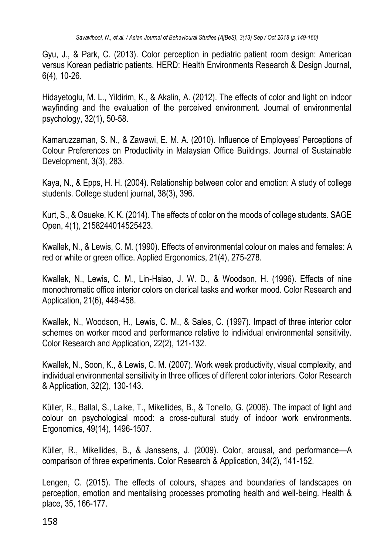Gyu, J., & Park, C. (2013). Color perception in pediatric patient room design: American versus Korean pediatric patients. HERD: Health Environments Research & Design Journal, 6(4), 10-26.

Hidayetoglu, M. L., Yildirim, K., & Akalin, A. (2012). The effects of color and light on indoor wayfinding and the evaluation of the perceived environment. Journal of environmental psychology, 32(1), 50-58.

Kamaruzzaman, S. N., & Zawawi, E. M. A. (2010). Influence of Employees' Perceptions of Colour Preferences on Productivity in Malaysian Office Buildings. Journal of Sustainable Development, 3(3), 283.

Kaya, N., & Epps, H. H. (2004). Relationship between color and emotion: A study of college students. College student journal, 38(3), 396.

Kurt, S., & Osueke, K. K. (2014). The effects of color on the moods of college students. SAGE Open, 4(1), 2158244014525423.

Kwallek, N., & Lewis, C. M. (1990). Effects of environmental colour on males and females: A red or white or green office. Applied Ergonomics, 21(4), 275-278.

Kwallek, N., Lewis, C. M., Lin-Hsiao, J. W. D., & Woodson, H. (1996). Effects of nine monochromatic office interior colors on clerical tasks and worker mood. Color Research and Application, 21(6), 448-458.

Kwallek, N., Woodson, H., Lewis, C. M., & Sales, C. (1997). Impact of three interior color schemes on worker mood and performance relative to individual environmental sensitivity. Color Research and Application, 22(2), 121-132.

Kwallek, N., Soon, K., & Lewis, C. M. (2007). Work week productivity, visual complexity, and individual environmental sensitivity in three offices of different color interiors. Color Research & Application, 32(2), 130-143.

Küller, R., Ballal, S., Laike, T., Mikellides, B., & Tonello, G. (2006). The impact of light and colour on psychological mood: a cross-cultural study of indoor work environments. Ergonomics, 49(14), 1496-1507.

Küller, R., Mikellides, B., & Janssens, J. (2009). Color, arousal, and performance—A comparison of three experiments. Color Research & Application, 34(2), 141-152.

Lengen, C. (2015). The effects of colours, shapes and boundaries of landscapes on perception, emotion and mentalising processes promoting health and well-being. Health & place, 35, 166-177.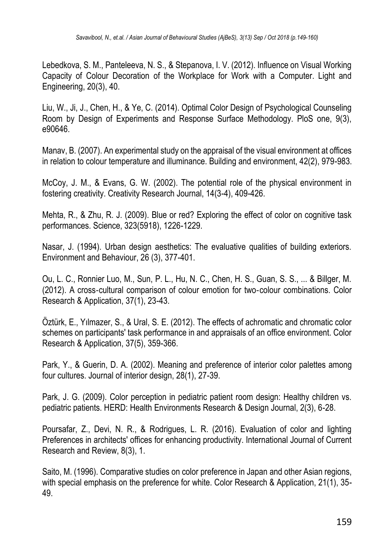Lebedkova, S. M., Panteleeva, N. S., & Stepanova, I. V. (2012). Influence on Visual Working Capacity of Colour Decoration of the Workplace for Work with a Computer. Light and Engineering, 20(3), 40.

Liu, W., Ji, J., Chen, H., & Ye, C. (2014). Optimal Color Design of Psychological Counseling Room by Design of Experiments and Response Surface Methodology. PloS one, 9(3), e90646.

Manav, B. (2007). An experimental study on the appraisal of the visual environment at offices in relation to colour temperature and illuminance. Building and environment, 42(2), 979-983.

McCoy, J. M., & Evans, G. W. (2002). The potential role of the physical environment in fostering creativity. Creativity Research Journal, 14(3-4), 409-426.

Mehta, R., & Zhu, R. J. (2009). Blue or red? Exploring the effect of color on cognitive task performances. Science, 323(5918), 1226-1229.

Nasar, J. (1994). Urban design aesthetics: The evaluative qualities of building exteriors. Environment and Behaviour, 26 (3), 377-401.

Ou, L. C., Ronnier Luo, M., Sun, P. L., Hu, N. C., Chen, H. S., Guan, S. S., ... & Billger, M. (2012). A cross‐cultural comparison of colour emotion for two‐colour combinations. Color Research & Application, 37(1), 23-43.

Öztürk, E., Yılmazer, S., & Ural, S. E. (2012). The effects of achromatic and chromatic color schemes on participants' task performance in and appraisals of an office environment. Color Research & Application, 37(5), 359-366.

Park, Y., & Guerin, D. A. (2002). Meaning and preference of interior color palettes among four cultures. Journal of interior design, 28(1), 27-39.

Park, J. G. (2009). Color perception in pediatric patient room design: Healthy children vs. pediatric patients. HERD: Health Environments Research & Design Journal, 2(3), 6-28.

Poursafar, Z., Devi, N. R., & Rodrigues, L. R. (2016). Evaluation of color and lighting Preferences in architects' offices for enhancing productivity. International Journal of Current Research and Review, 8(3), 1.

Saito, M. (1996). Comparative studies on color preference in Japan and other Asian regions, with special emphasis on the preference for white. Color Research & Application, 21(1), 35- 49.